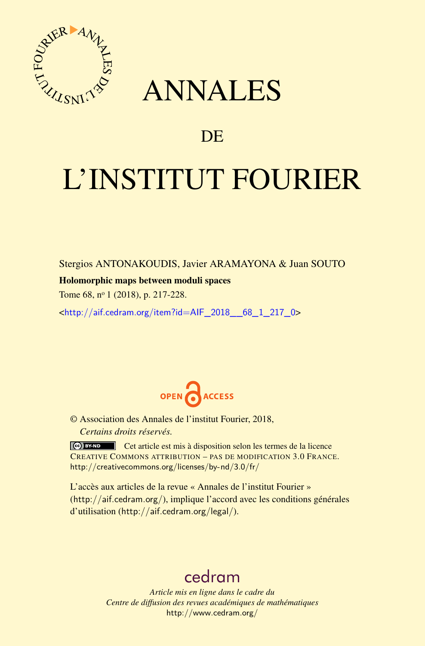

## ANNALES

### **DE**

# L'INSTITUT FOURIER

Stergios ANTONAKOUDIS, Javier ARAMAYONA & Juan SOUTO

#### Holomorphic maps between moduli spaces

Tome 68, n<sup>o</sup> 1 (2018), p. 217-228.

<[http://aif.cedram.org/item?id=AIF\\_2018\\_\\_68\\_1\\_217\\_0](http://aif.cedram.org/item?id=AIF_2018__68_1_217_0)>



© Association des Annales de l'institut Fourier, 2018, *Certains droits réservés.*

Cet article est mis à disposition selon les termes de la licence CREATIVE COMMONS ATTRIBUTION – PAS DE MODIFICATION 3.0 FRANCE. <http://creativecommons.org/licenses/by-nd/3.0/fr/>

L'accès aux articles de la revue « Annales de l'institut Fourier » (<http://aif.cedram.org/>), implique l'accord avec les conditions générales d'utilisation (<http://aif.cedram.org/legal/>).

## [cedram](http://www.cedram.org/)

*Article mis en ligne dans le cadre du Centre de diffusion des revues académiques de mathématiques* <http://www.cedram.org/>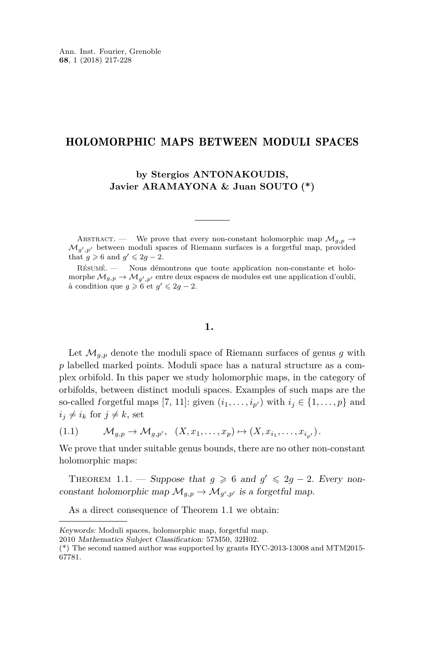#### HOLOMORPHIC MAPS BETWEEN MODULI SPACES

**by Stergios ANTONAKOUDIS, Javier ARAMAYONA & Juan SOUTO (\*)**

ABSTRACT. — We prove that every non-constant holomorphic map  $\mathcal{M}_{g,p} \rightarrow$  $\mathcal{M}_{g',p'}$  between moduli spaces of Riemann surfaces is a forgetful map, provided that  $g \ge 6$  and  $g' \le 2g - 2$ .

Résumé. — Nous démontrons que toute application non-constante et holomorphe  $\mathcal{M}_{g,p} \to \mathcal{M}_{g',p'}$  entre deux espaces de modules est une application d'oubli, à condition que  $g \ge 6$  et  $g' \le 2g - 2$ .

#### **1.**

Let  $\mathcal{M}_{q,p}$  denote the moduli space of Riemann surfaces of genus g with *p* labelled marked points. Moduli space has a natural structure as a complex orbifold. In this paper we study holomorphic maps, in the category of orbifolds, between distinct moduli spaces. Examples of such maps are the so-called forgetful maps [\[7,](#page-11-0) [11\]](#page-11-1): given  $(i_1, \ldots, i_{p'})$  with  $i_j \in \{1, \ldots, p\}$  and  $i_j \neq i_k$  for  $j \neq k$ , set

<span id="page-1-1"></span>(1.1)  $\mathcal{M}_{g,p} \to \mathcal{M}_{g,p'}, \quad (X, x_1, \ldots, x_p) \mapsto (X, x_{i_1}, \ldots, x_{i_{p'}}).$ 

We prove that under suitable genus bounds, there are no other non-constant holomorphic maps:

<span id="page-1-0"></span>THEOREM 1.1. — Suppose that  $g \geq 6$  and  $g' \leq 2g - 2$ . Every nonconstant holomorphic map  $\mathcal{M}_{g,p} \to \mathcal{M}_{g',p'}$  is a forgetful map.

As a direct consequence of Theorem [1.1](#page-1-0) we obtain:

Keywords: Moduli spaces, holomorphic map, forgetful map.

<sup>2010</sup> Mathematics Subject Classification: 57M50, 32H02.

<sup>(\*)</sup> The second named author was supported by grants RYC-2013-13008 and MTM2015- 67781.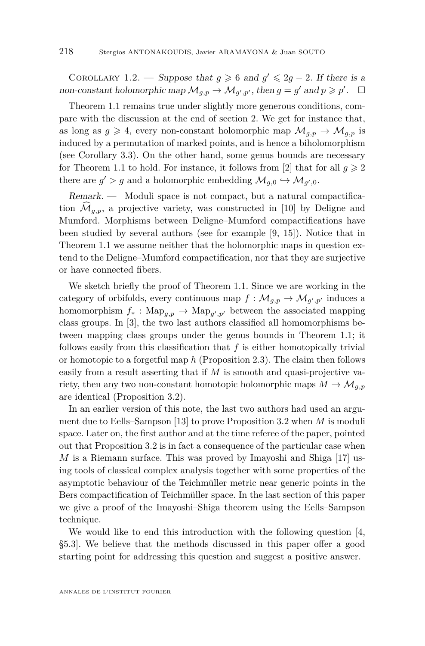COROLLARY 1.2. — Suppose that  $g \ge 6$  and  $g' \le 2g - 2$ . If there is a non-constant holomorphic map  $\mathcal{M}_{g,p} \to \mathcal{M}_{g',p'}$ , then  $g = g'$  and  $p \geqslant p'$ .  $\Box$ 

Theorem [1.1](#page-1-0) remains true under slightly more generous conditions, compare with the discussion at the end of section [2.](#page-3-0) We get for instance that, as long as  $g \geq 4$ , every non-constant holomorphic map  $\mathcal{M}_{q,p} \to \mathcal{M}_{q,p}$  is induced by a permutation of marked points, and is hence a biholomorphism (see Corollary [3.3\)](#page-7-0). On the other hand, some genus bounds are necessary for Theorem [1.1](#page-1-0) to hold. For instance, it follows from [\[2\]](#page-11-2) that for all  $q \geq 2$ there are  $g' > g$  and a holomorphic embedding  $\mathcal{M}_{g,0} \hookrightarrow \mathcal{M}_{g',0}$ .

Remark. — Moduli space is not compact, but a natural compactification  $\widehat{\mathcal{M}}_{q,p}$ , a projective variety, was constructed in [\[10\]](#page-11-3) by Deligne and Mumford. Morphisms between Deligne–Mumford compactifications have been studied by several authors (see for example [\[9,](#page-11-4) [15\]](#page-11-5)). Notice that in Theorem [1.1](#page-1-0) we assume neither that the holomorphic maps in question extend to the Deligne–Mumford compactification, nor that they are surjective or have connected fibers.

We sketch briefly the proof of Theorem [1.1.](#page-1-0) Since we are working in the category of orbifolds, every continuous map  $f: \mathcal{M}_{g,p} \to \mathcal{M}_{g',p'}$  induces a homomorphism  $f_* : \text{Map}_{g,p} \to \text{Map}_{g',p'}$  between the associated mapping class groups. In [\[3\]](#page-11-6), the two last authors classified all homomorphisms between mapping class groups under the genus bounds in Theorem [1.1;](#page-1-0) it follows easily from this classification that *f* is either homotopically trivial or homotopic to a forgetful map *h* (Proposition [2.3\)](#page-5-0). The claim then follows easily from a result asserting that if M is smooth and quasi-projective variety, then any two non-constant homotopic holomorphic maps  $M \to \mathcal{M}_{q,p}$ are identical (Proposition [3.2\)](#page-6-0).

In an earlier version of this note, the last two authors had used an argument due to Eells–Sampson [\[13\]](#page-11-7) to prove Proposition [3.2](#page-6-0) when *M* is moduli space. Later on, the first author and at the time referee of the paper, pointed out that Proposition [3.2](#page-6-0) is in fact a consequence of the particular case when *M* is a Riemann surface. This was proved by Imayoshi and Shiga [\[17\]](#page-12-0) using tools of classical complex analysis together with some properties of the asymptotic behaviour of the Teichmüller metric near generic points in the Bers compactification of Teichmüller space. In the last section of this paper we give a proof of the Imayoshi–Shiga theorem using the Eells–Sampson technique.

We would like to end this introduction with the following question [\[4,](#page-11-8) §5.3]. We believe that the methods discussed in this paper offer a good starting point for addressing this question and suggest a positive answer.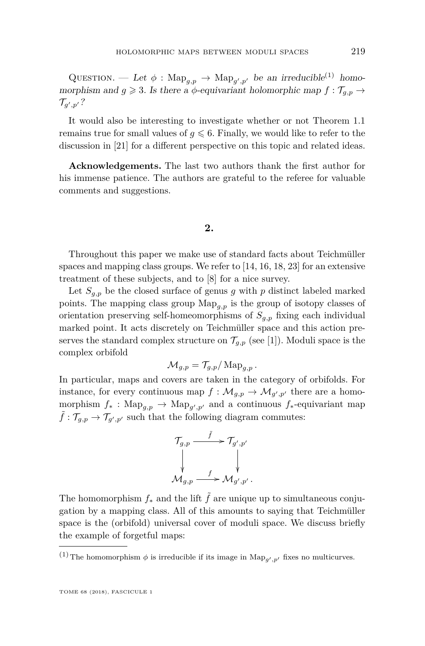QUESTION. — Let  $\phi$ : Map<sub>*g*, *p*</sub>  $\rightarrow$  Map<sub>*g*', *p*' be an irreducible<sup>(1)</sup> homo-</sub> morphism and  $g \geq 3$ . Is there a  $\phi$ -equivariant holomorphic map  $f : \mathcal{T}_{g,p} \to$  $\mathcal{T}_{g',p'}$  ?

It would also be interesting to investigate whether or not Theorem [1.1](#page-1-0) remains true for small values of  $g \leq 6$ . Finally, we would like to refer to the discussion in [\[21\]](#page-12-1) for a different perspective on this topic and related ideas.

**Acknowledgements.** The last two authors thank the first author for his immense patience. The authors are grateful to the referee for valuable comments and suggestions.

#### **2.**

<span id="page-3-0"></span>Throughout this paper we make use of standard facts about Teichmüller spaces and mapping class groups. We refer to  $[14, 16, 18, 23]$  $[14, 16, 18, 23]$  $[14, 16, 18, 23]$  $[14, 16, 18, 23]$  $[14, 16, 18, 23]$  $[14, 16, 18, 23]$  $[14, 16, 18, 23]$  for an extensive treatment of these subjects, and to [\[8\]](#page-11-11) for a nice survey.

Let  $S_{q,p}$  be the closed surface of genus g with p distinct labeled marked points. The mapping class group Map*g,p* is the group of isotopy classes of orientation preserving self-homeomorphisms of  $S_{q,p}$  fixing each individual marked point. It acts discretely on Teichmüller space and this action preserves the standard complex structure on  $\mathcal{T}_{q,p}$  (see [\[1\]](#page-11-12)). Moduli space is the complex orbifold

$$
\mathcal{M}_{g,p} = \mathcal{T}_{g,p}/\operatorname{Map}_{g,p}.
$$

In particular, maps and covers are taken in the category of orbifolds. For instance, for every continuous map  $f : \mathcal{M}_{g,p} \to \mathcal{M}_{g',p'}$  there are a homomorphism  $f_*$ : Map<sub>g,p</sub>  $\rightarrow$  Map<sub>g',p'</sub> and a continuous  $f_*$ -equivariant map  $\tilde{f}: \mathcal{T}_{g,p} \to \mathcal{T}_{g',p'}$  such that the following diagram commutes:

$$
\begin{array}{ccc}\n\mathcal{T}_{g,p} & \xrightarrow{\tilde{f}} & \mathcal{T}_{g',p'} \\
\downarrow & & \downarrow \\
\mathcal{M}_{g,p} & \xrightarrow{f} & \mathcal{M}_{g',p'}.\n\end{array}
$$

The homomorphism  $f_*$  and the lift  $\tilde{f}$  are unique up to simultaneous conjugation by a mapping class. All of this amounts to saying that Teichmüller space is the (orbifold) universal cover of moduli space. We discuss briefly the example of forgetful maps:

<sup>&</sup>lt;sup>(1)</sup> The homomorphism  $\phi$  is irreducible if its image in  $\text{Map}_{g',p'}$  fixes no multicurves.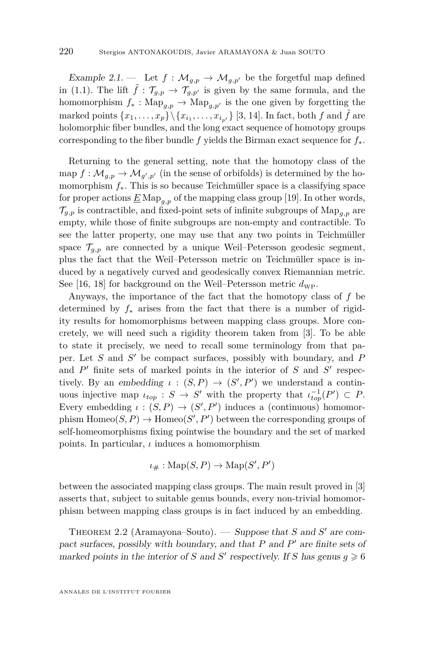Example 2.1. — Let  $f : \mathcal{M}_{g,p} \to \mathcal{M}_{g,p'}$  be the forgetful map defined in [\(1.1\)](#page-1-1). The lift  $\tilde{f}$  :  $\mathcal{T}_{g,p} \to \mathcal{T}_{g,p'}$  is given by the same formula, and the homomorphism  $f_* : \text{Map}_{q,p} \to \text{Map}_{q,p'}$  is the one given by forgetting the marked points  $\{x_1, \ldots, x_p\} \setminus \{x_{i_1}, \ldots, x_{i_{p'}}\}$  [\[3,](#page-11-6) [14\]](#page-11-9). In fact, both *f* and  $\tilde{f}$  are holomorphic fiber bundles, and the long exact sequence of homotopy groups corresponding to the fiber bundle *f* yields the Birman exact sequence for *f*∗.

Returning to the general setting, note that the homotopy class of the  $\text{map } f: \mathcal{M}_{g,p} \to \mathcal{M}_{g',p'}$  (in the sense of orbifolds) is determined by the homomorphism *f*∗. This is so because Teichmüller space is a classifying space for proper actions  $\underline{E} \text{Map}_{a,p}$  of the mapping class group [\[19\]](#page-12-4). In other words,  $\mathcal{T}_{q,p}$  is contractible, and fixed-point sets of infinite subgroups of  $\text{Map}_{q,p}$  are empty, while those of finite subgroups are non-empty and contractible. To see the latter property, one may use that any two points in Teichmüller space  $\mathcal{T}_{q,p}$  are connected by a unique Weil–Petersson geodesic segment, plus the fact that the Weil–Petersson metric on Teichmüller space is induced by a negatively curved and geodesically convex Riemannian metric. See [\[16,](#page-11-10) [18\]](#page-12-2) for background on the Weil–Petersson metric  $d_{\text{WP}}$ .

Anyways, the importance of the fact that the homotopy class of *f* be determined by *f*<sup>∗</sup> arises from the fact that there is a number of rigidity results for homomorphisms between mapping class groups. More concretely, we will need such a rigidity theorem taken from [\[3\]](#page-11-6). To be able to state it precisely, we need to recall some terminology from that paper. Let *S* and *S'* be compact surfaces, possibly with boundary, and *P* and  $P'$  finite sets of marked points in the interior of  $S$  and  $S'$  respectively. By an embedding  $\iota : (S, P) \to (S', P')$  we understand a continuous injective map  $\iota_{top}: S \to S'$  with the property that  $\iota_{top}^{-1}(P') \subset P$ . Every embedding  $\iota : (S, P) \to (S', P')$  induces a (continuous) homomorphism  $\text{Homeo}(S, P) \to \text{Homeo}(S', P')$  between the corresponding groups of self-homeomorphisms fixing pointwise the boundary and the set of marked points. In particular, *ι* induces a homomorphism

$$
\iota_{\#} : \text{Map}(S, P) \to \text{Map}(S', P')
$$

between the associated mapping class groups. The main result proved in [\[3\]](#page-11-6) asserts that, subject to suitable genus bounds, every non-trivial homomorphism between mapping class groups is in fact induced by an embedding.

<span id="page-4-0"></span>THEOREM 2.2 (Aramayona–Souto). — Suppose that  $S$  and  $S'$  are compact surfaces, possibly with boundary, and that *P* and *P*<sup>'</sup> are finite sets of marked points in the interior of *S* and *S'* respectively. If *S* has genus  $g \ge 6$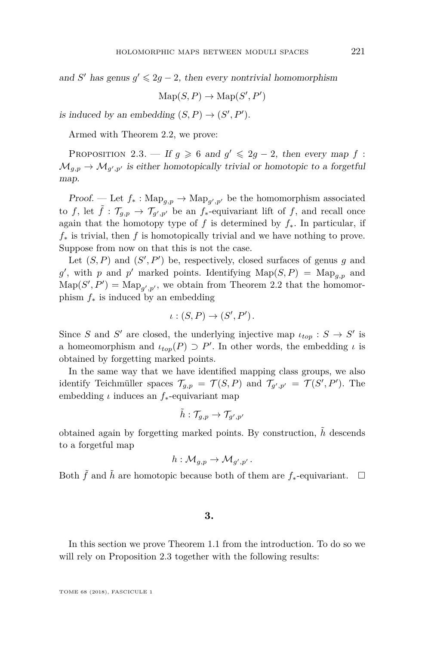and *S'* has genus  $g' \leq 2g - 2$ , then every nontrivial homomorphism

 $\mathrm{Map}(S, P) \to \mathrm{Map}(S', P')$ 

is induced by an embedding  $(S, P) \to (S', P')$ .

Armed with Theorem [2.2,](#page-4-0) we prove:

<span id="page-5-0"></span>PROPOSITION 2.3. — If  $g \ge 6$  and  $g' \le 2g - 2$ , then every map f:  $\mathcal{M}_{g,p} \to \mathcal{M}_{g',p'}$  is either homotopically trivial or homotopic to a forgetful map.

*Proof.* — Let  $f_* : \text{Map}_{g,p} \to \text{Map}_{g',p'}$  be the homomorphism associated to *f*, let  $\tilde{f}$  :  $\mathcal{T}_{g,p} \to \mathcal{T}_{g',p'}$  be an  $f_*$ -equivariant lift of *f*, and recall once again that the homotopy type of *f* is determined by  $f_*$ . In particular, if *f*<sup>∗</sup> is trivial, then *f* is homotopically trivial and we have nothing to prove. Suppose from now on that this is not the case.

Let  $(S, P)$  and  $(S', P')$  be, respectively, closed surfaces of genus *g* and g', with p and p' marked points. Identifying  $\text{Map}(S, P) = \text{Map}_{g, p}$  and  $\text{Map}(S', P') = \text{Map}_{g', p'}$ , we obtain from Theorem [2.2](#page-4-0) that the homomorphism *f*<sup>∗</sup> is induced by an embedding

$$
\iota:(S,P)\to (S',P').
$$

Since *S* and *S'* are closed, the underlying injective map  $\iota_{top}: S \to S'$  is a homeomorphism and  $\iota_{top}(P) \supset P'$ . In other words, the embedding  $\iota$  is obtained by forgetting marked points.

In the same way that we have identified mapping class groups, we also identify Teichmüller spaces  $\mathcal{T}_{g,p} = \mathcal{T}(S, P)$  and  $\mathcal{T}_{g',p'} = \mathcal{T}(S', P')$ . The embedding *ι* induces an *f*∗-equivariant map

$$
\tilde{h}:\mathcal{T}_{g,p}\to\mathcal{T}_{g',p'}
$$

obtained again by forgetting marked points. By construction, *h*˜ descends to a forgetful map

$$
h: \mathcal{M}_{g,p} \to \mathcal{M}_{g',p'}.
$$

Both  $\tilde{f}$  and  $\tilde{h}$  are homotopic because both of them are  $f_*$ -equivariant.  $\Box$ 

#### **3.**

In this section we prove Theorem [1.1](#page-1-0) from the introduction. To do so we will rely on Proposition [2.3](#page-5-0) together with the following results: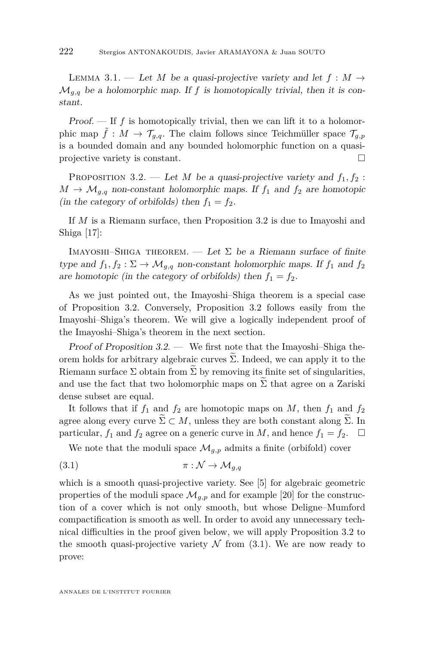<span id="page-6-2"></span>LEMMA 3.1. — Let *M* be a quasi-projective variety and let  $f : M \rightarrow$  $\mathcal{M}_{q,q}$  be a holomorphic map. If f is homotopically trivial, then it is constant.

*Proof.*  $\leftarrow$  If  $f$  is homotopically trivial, then we can lift it to a holomorphic map  $\tilde{f}: M \to \mathcal{T}_{q,q}$ . The claim follows since Teichmüller space  $\mathcal{T}_{q,p}$ is a bounded domain and any bounded holomorphic function on a quasiprojective variety is constant.

<span id="page-6-0"></span>PROPOSITION 3.2. — Let *M* be a quasi-projective variety and  $f_1, f_2$ :  $M \to \mathcal{M}_{g,q}$  non-constant holomorphic maps. If  $f_1$  and  $f_2$  are homotopic (in the category of orbifolds) then  $f_1 = f_2$ .

If *M* is a Riemann surface, then Proposition [3.2](#page-6-0) is due to Imayoshi and Shiga [\[17\]](#page-12-0):

IMAYOSHI–SHIGA THEOREM. — Let  $\Sigma$  be a Riemann surface of finite type and  $f_1, f_2 : \Sigma \to \mathcal{M}_{g,q}$  non-constant holomorphic maps. If  $f_1$  and  $f_2$ are homotopic (in the category of orbifolds) then  $f_1 = f_2$ .

As we just pointed out, the Imayoshi–Shiga theorem is a special case of Proposition [3.2.](#page-6-0) Conversely, Proposition [3.2](#page-6-0) follows easily from the Imayoshi–Shiga's theorem. We will give a logically independent proof of the Imayoshi–Shiga's theorem in the next section.

Proof of Proposition [3.2.](#page-6-0) — We first note that the Imayoshi–Shiga theorem holds for arbitrary algebraic curves  $\tilde{\Sigma}$ . Indeed, we can apply it to the Riemann surface  $\Sigma$  obtain from  $\Sigma$  by removing its finite set of singularities, and use the fact that two holomorphic maps on  $\widetilde{\Sigma}$  that agree on a Zariski dense subset are equal.

It follows that if  $f_1$  and  $f_2$  are homotopic maps on *M*, then  $f_1$  and  $f_2$ agree along every curve  $\widetilde{\Sigma} \subset M$ , unless they are both constant along  $\widetilde{\Sigma}$ . In particular,  $f_1$  and  $f_2$  agree on a generic curve in M, and hence  $f_1 = f_2$ .  $\square$ particular,  $f_1$  and  $f_2$  agree on a generic curve in *M*, and hence  $f_1 = f_2$ .

<span id="page-6-1"></span>We note that the moduli space  $\mathcal{M}_{g,p}$  admits a finite (orbifold) cover

$$
(3.1) \t\t \pi : \mathcal{N} \to \mathcal{M}_{g,q}
$$

which is a smooth quasi-projective variety. See [\[5\]](#page-11-13) for algebraic geometric properties of the moduli space  $\mathcal{M}_{g,p}$  and for example [\[20\]](#page-12-5) for the construction of a cover which is not only smooth, but whose Deligne–Mumford compactification is smooth as well. In order to avoid any unnecessary technical difficulties in the proof given below, we will apply Proposition [3.2](#page-6-0) to the smooth quasi-projective variety  $N$  from [\(3.1\)](#page-6-1). We are now ready to prove: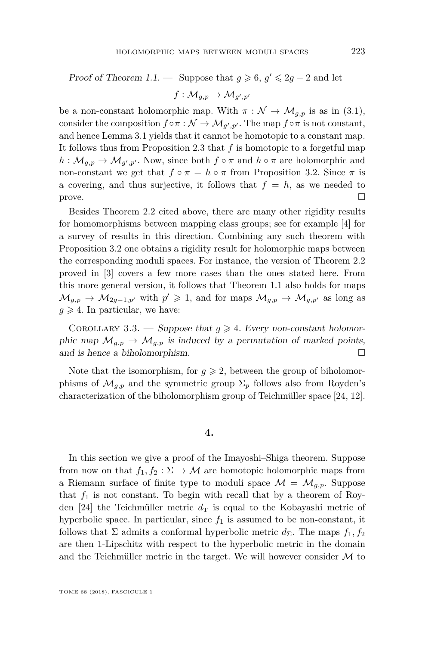#### Proof of Theorem [1.1.](#page-1-0) — Suppose that  $g \ge 6$ ,  $g' \le 2g - 2$  and let

$$
f:\mathcal{M}_{g,p}\to \mathcal{M}_{g',p'}
$$

be a non-constant holomorphic map. With  $\pi : \mathcal{N} \to \mathcal{M}_{q,p}$  is as in [\(3.1\)](#page-6-1), consider the composition  $f \circ \pi : \mathcal{N} \to \mathcal{M}_{g',p'}$ . The map  $f \circ \pi$  is not constant, and hence Lemma [3.1](#page-6-2) yields that it cannot be homotopic to a constant map. It follows thus from Proposition [2.3](#page-5-0) that *f* is homotopic to a forgetful map  $h: \mathcal{M}_{g,p} \to \mathcal{M}_{g',p'}.$  Now, since both  $f \circ \pi$  and  $h \circ \pi$  are holomorphic and non-constant we get that  $f \circ \pi = h \circ \pi$  from Proposition [3.2.](#page-6-0) Since  $\pi$  is a covering, and thus surjective, it follows that  $f = h$ , as we needed to prove.  $\Box$ 

Besides Theorem [2.2](#page-4-0) cited above, there are many other rigidity results for homomorphisms between mapping class groups; see for example [\[4\]](#page-11-8) for a survey of results in this direction. Combining any such theorem with Proposition [3.2](#page-6-0) one obtains a rigidity result for holomorphic maps between the corresponding moduli spaces. For instance, the version of Theorem [2.2](#page-4-0) proved in [\[3\]](#page-11-6) covers a few more cases than the ones stated here. From this more general version, it follows that Theorem [1.1](#page-1-0) also holds for maps  $\mathcal{M}_{g,p} \to \mathcal{M}_{2g-1,p}$ <sup>*i*</sup> with  $p' \geq 1$ , and for maps  $\mathcal{M}_{g,p} \to \mathcal{M}_{g,p'}$  as long as  $q \geq 4$ . In particular, we have:

<span id="page-7-0"></span>COROLLARY 3.3. — Suppose that  $g \geq 4$ . Every non-constant holomorphic map  $\mathcal{M}_{g,p} \to \mathcal{M}_{g,p}$  is induced by a permutation of marked points, and is hence a biholomorphism.

Note that the isomorphism, for  $g \ge 2$ , between the group of biholomorphisms of  $\mathcal{M}_{q,p}$  and the symmetric group  $\Sigma_p$  follows also from Royden's characterization of the biholomorphism group of Teichmüller space [\[24,](#page-12-6) [12\]](#page-11-14).

#### **4.**

In this section we give a proof of the Imayoshi–Shiga theorem. Suppose from now on that  $f_1, f_2 : \Sigma \to M$  are homotopic holomorphic maps from a Riemann surface of finite type to moduli space  $\mathcal{M} = \mathcal{M}_{g,p}$ . Suppose that  $f_1$  is not constant. To begin with recall that by a theorem of Roy-den [\[24\]](#page-12-6) the Teichmüller metric  $d<sub>T</sub>$  is equal to the Kobayashi metric of hyperbolic space. In particular, since  $f_1$  is assumed to be non-constant, it follows that  $\Sigma$  admits a conformal hyperbolic metric  $d_{\Sigma}$ . The maps  $f_1, f_2$ are then 1-Lipschitz with respect to the hyperbolic metric in the domain and the Teichmüller metric in the target. We will however consider  $M$  to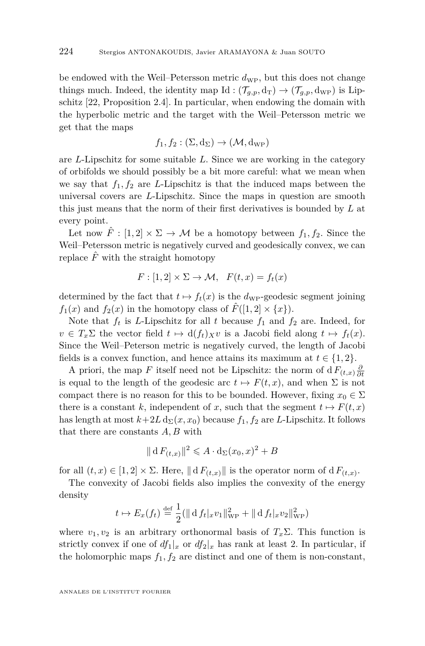be endowed with the Weil–Petersson metric  $d_{\rm WP}$ , but this does not change things much. Indeed, the identity map Id :  $(\mathcal{T}_{q,p}, d_T) \rightarrow (\mathcal{T}_{q,p}, d_{WP})$  is Lipschitz [\[22,](#page-12-7) Proposition 2.4]. In particular, when endowing the domain with the hyperbolic metric and the target with the Weil–Petersson metric we get that the maps

$$
f_1, f_2 : (\Sigma, d_{\Sigma}) \to (\mathcal{M}, d_{\rm WP})
$$

are *L*-Lipschitz for some suitable *L*. Since we are working in the category of orbifolds we should possibly be a bit more careful: what we mean when we say that  $f_1, f_2$  are *L*-Lipschitz is that the induced maps between the universal covers are *L*-Lipschitz. Since the maps in question are smooth this just means that the norm of their first derivatives is bounded by *L* at every point.

Let now  $\hat{F}$  :  $[1,2] \times \Sigma \rightarrow M$  be a homotopy between  $f_1, f_2$ . Since the Weil–Petersson metric is negatively curved and geodesically convex, we can replace  $\hat{F}$  with the straight homotopy

$$
F: [1,2] \times \Sigma \to \mathcal{M}, \quad F(t,x) = f_t(x)
$$

determined by the fact that  $t \mapsto f_t(x)$  is the  $d_{\text{WP}}$ -geodesic segment joining  $f_1(x)$  and  $f_2(x)$  in the homotopy class of  $\hat{F}([1,2] \times \{x\})$ .

Note that  $f_t$  is *L*-Lipschitz for all *t* because  $f_1$  and  $f_2$  are. Indeed, for  $v \in T_x\Sigma$  the vector field  $t \mapsto d(f_t)_Xv$  is a Jacobi field along  $t \mapsto f_t(x)$ . Since the Weil–Peterson metric is negatively curved, the length of Jacobi fields is a convex function, and hence attains its maximum at  $t \in \{1, 2\}$ .

A priori, the map *F* itself need not be Lipschitz: the norm of d $F_{(t,x)}\frac{\partial}{\partial t}$ is equal to the length of the geodesic arc  $t \mapsto F(t, x)$ , and when  $\Sigma$  is not compact there is no reason for this to be bounded. However, fixing  $x_0 \in \Sigma$ there is a constant *k*, independent of *x*, such that the segment  $t \mapsto F(t, x)$ has length at most  $k+2L\,\mathrm{d}_{\Sigma}(x,x_0)$  because  $f_1, f_2$  are *L*-Lipschitz. It follows that there are constants *A, B* with

$$
\|\mathbf{d}\,F_{(t,x)}\|^2 \leqslant A \cdot \mathbf{d}_{\Sigma}(x_0,x)^2 + B
$$

for all  $(t, x) \in [1, 2] \times \Sigma$ . Here,  $\| d F_{(t,x)} \|$  is the operator norm of  $d F_{(t,x)}$ .

The convexity of Jacobi fields also implies the convexity of the energy density

$$
t \mapsto E_x(f_t) \stackrel{\text{def}}{=} \frac{1}{2} (\| d f_t |_x v_1 \|_{\text{WP}}^2 + \| d f_t |_x v_2 \|_{\text{WP}}^2)
$$

where  $v_1, v_2$  is an arbitrary orthonormal basis of  $T_x \Sigma$ . This function is strictly convex if one of  $df_1|_x$  or  $df_2|_x$  has rank at least 2. In particular, if the holomorphic maps  $f_1, f_2$  are distinct and one of them is non-constant,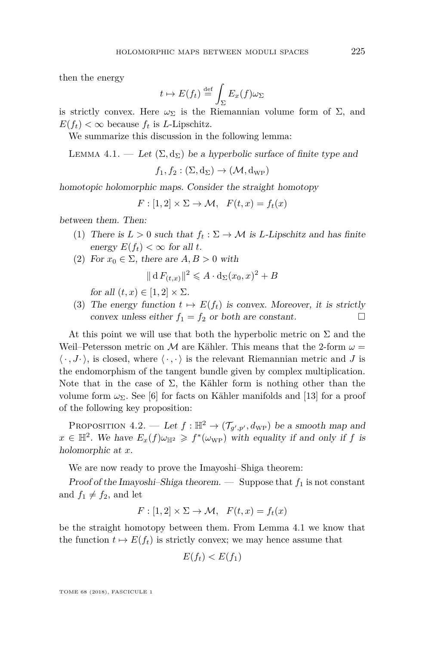then the energy

$$
t \mapsto E(f_t) \stackrel{\text{def}}{=} \int_{\Sigma} E_x(f) \omega_{\Sigma}
$$

is strictly convex. Here  $\omega_{\Sigma}$  is the Riemannian volume form of  $\Sigma$ , and  $E(f_t) < \infty$  because  $f_t$  is *L*-Lipschitz.

We summarize this discussion in the following lemma:

<span id="page-9-0"></span>LEMMA 4.1. — Let  $(\Sigma, d_{\Sigma})$  be a hyperbolic surface of finite type and

 $f_1, f_2 : (\Sigma, d_{\Sigma}) \rightarrow (\mathcal{M}, d_{\text{WP}})$ 

homotopic holomorphic maps. Consider the straight homotopy

 $F: [1, 2] \times \Sigma \rightarrow \mathcal{M}, \quad F(t, x) = f_t(x)$ 

between them. Then:

- (1) There is  $L > 0$  such that  $f_t : \Sigma \to M$  is *L*-Lipschitz and has finite energy  $E(f_t) < \infty$  for all *t*.
- (2) For  $x_0 \in \Sigma$ , there are  $A, B > 0$  with

$$
\|\mathbf{d}\,F_{(t,x)}\|^2 \leqslant A \cdot \mathbf{d}_{\Sigma}(x_0,x)^2 + B
$$

for all  $(t, x) \in [1, 2] \times \Sigma$ .

(3) The energy function  $t \mapsto E(f_t)$  is convex. Moreover, it is strictly convex unless either  $f_1 = f_2$  or both are constant.

At this point we will use that both the hyperbolic metric on  $\Sigma$  and the Weil–Petersson metric on M are Kähler. This means that the 2-form  $\omega =$  $\langle \cdot, J \cdot \rangle$ , is closed, where  $\langle \cdot, \cdot \rangle$  is the relevant Riemannian metric and *J* is the endomorphism of the tangent bundle given by complex multiplication. Note that in the case of  $\Sigma$ , the Kähler form is nothing other than the volume form  $\omega_{\Sigma}$ . See [\[6\]](#page-11-15) for facts on Kähler manifolds and [\[13\]](#page-11-7) for a proof of the following key proposition:

<span id="page-9-1"></span>PROPOSITION 4.2. — Let  $f : \mathbb{H}^2 \to (\mathcal{T}_{g',p'}, d_{\text{WP}})$  be a smooth map and  $x \in \mathbb{H}^2$ . We have  $E_x(f)\omega_{\mathbb{H}^2} \geqslant f^*(\omega_{\text{WP}})$  with equality if and only if *f* is holomorphic at *x*.

We are now ready to prove the Imayoshi–Shiga theorem:

Proof of the Imayoshi–Shiga theorem.  $\qquad$  Suppose that  $f_1$  is not constant and  $f_1 \neq f_2$ , and let

$$
F: [1,2] \times \Sigma \to \mathcal{M}, \quad F(t,x) = f_t(x)
$$

be the straight homotopy between them. From Lemma [4.1](#page-9-0) we know that the function  $t \mapsto E(f_t)$  is strictly convex; we may hence assume that

$$
E(f_t) < E(f_1)
$$

TOME 68 (2018), FASCICULE 1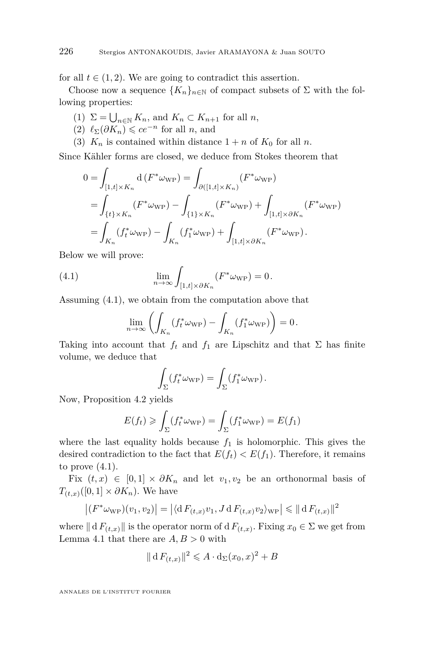for all  $t \in (1, 2)$ . We are going to contradict this assertion.

Choose now a sequence  ${K_n}_{n \in \mathbb{N}}$  of compact subsets of  $\Sigma$  with the following properties:

- $(1)$   $\Sigma = \bigcup_{n \in \mathbb{N}} K_n$ , and  $K_n \subset K_{n+1}$  for all *n*,
- <span id="page-10-1"></span> $(2)$   $\ell_{\Sigma}(\partial K_n) \leqslant ce^{-n}$  for all *n*, and
- <span id="page-10-2"></span>(3)  $K_n$  is contained within distance  $1 + n$  of  $K_0$  for all *n*.

Since Kähler forms are closed, we deduce from Stokes theorem that

$$
0 = \int_{[1,t] \times K_n} d(F^* \omega_{\text{WP}}) = \int_{\partial([1,t] \times K_n)} (F^* \omega_{\text{WP}})
$$
  
= 
$$
\int_{\{t\} \times K_n} (F^* \omega_{\text{WP}}) - \int_{\{1\} \times K_n} (F^* \omega_{\text{WP}}) + \int_{[1,t] \times \partial K_n} (F^* \omega_{\text{WP}})
$$
  
= 
$$
\int_{K_n} (f_t^* \omega_{\text{WP}}) - \int_{K_n} (f_1^* \omega_{\text{WP}}) + \int_{[1,t] \times \partial K_n} (F^* \omega_{\text{WP}}).
$$

Below we will prove:

(4.1) 
$$
\lim_{n \to \infty} \int_{[1,t] \times \partial K_n} (F^* \omega_{\text{WP}}) = 0.
$$

Assuming [\(4.1\)](#page-10-0), we obtain from the computation above that

<span id="page-10-0"></span>
$$
\lim_{n \to \infty} \left( \int_{K_n} (f_t^* \omega_{\text{WP}}) - \int_{K_n} (f_1^* \omega_{\text{WP}}) \right) = 0.
$$

Taking into account that  $f_t$  and  $f_1$  are Lipschitz and that  $\Sigma$  has finite volume, we deduce that

$$
\int_{\Sigma} (f_t^* \omega_{\rm WP}) = \int_{\Sigma} (f_1^* \omega_{\rm WP}).
$$

Now, Proposition [4.2](#page-9-1) yields

$$
E(f_t) \ge \int_{\Sigma} (f_t^* \omega_{\text{WP}}) = \int_{\Sigma} (f_1^* \omega_{\text{WP}}) = E(f_1)
$$

where the last equality holds because  $f_1$  is holomorphic. This gives the desired contradiction to the fact that  $E(f_t) < E(f_1)$ . Therefore, it remains to prove  $(4.1)$ .

Fix  $(t, x) \in [0, 1] \times \partial K_n$  and let  $v_1, v_2$  be an orthonormal basis of  $T_{(t,x)}([0,1] \times \partial K_n)$ . We have

$$
\left| \left( F^* \omega_{\text{WP}} \right) (v_1, v_2) \right| = \left| \langle \mathrm{d} F_{(t,x)} v_1, J \mathrm{d} F_{(t,x)} v_2 \rangle_{\text{WP}} \right| \leq \| \mathrm{d} F_{(t,x)} \|^2
$$

where  $|| d F(t,x) ||$  is the operator norm of  $d F(t,x)$ . Fixing  $x_0 \in \Sigma$  we get from Lemma [4.1](#page-9-0) that there are  $A, B > 0$  with

$$
\|\mathbf{d}\, F_{(t,x)}\|^2 \leqslant A \cdot \mathbf{d}(\mathbf{x}_0, x)^2 + B
$$

ANNALES DE L'INSTITUT FOURIER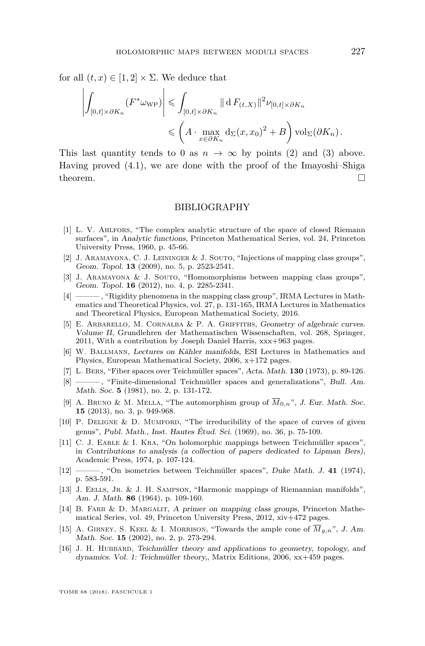for all  $(t, x) \in [1, 2] \times \Sigma$ . We deduce that

$$
\left| \int_{[0,t] \times \partial K_n} (F^* \omega_{\text{WP}}) \right| \leq \int_{[0,t] \times \partial K_n} \| \, dF_{(t,X)} \|^2 \nu_{[0,t] \times \partial K_n}
$$
  

$$
\leq \left( A \cdot \max_{x \in \partial K_n} d_{\Sigma}(x, x_0)^2 + B \right) \text{vol}_{\Sigma}(\partial K_n).
$$

This last quantity tends to 0 as  $n \to \infty$  by points [\(2\)](#page-10-1) and [\(3\)](#page-10-2) above. Having proved  $(4.1)$ , we are done with the proof of the Imayoshi-Shiga theorem.  $\Box$ 

#### BIBLIOGRAPHY

- <span id="page-11-12"></span>[1] L. V. Ahlfors, "The complex analytic structure of the space of closed Riemann surfaces", in Analytic functions, Princeton Mathematical Series, vol. 24, Princeton University Press, 1960, p. 45-66.
- <span id="page-11-2"></span>[2] J. Aramayona, C. J. Leininger & J. Souto, "Injections of mapping class groups", Geom. Topol. **13** (2009), no. 5, p. 2523-2541.
- <span id="page-11-6"></span>[3] J. ARAMAYONA & J. SOUTO, "Homomorphisms between mapping class groups", Geom. Topol. **16** (2012), no. 4, p. 2285-2341.
- <span id="page-11-8"></span>[4] ——— , "Rigidity phenomena in the mapping class group", IRMA Lectures in Mathematics and Theoretical Physics, vol. 27, p. 131-165, IRMA Lectures in Mathematics and Theoretical Physics, European Mathematical Society, 2016.
- <span id="page-11-13"></span>[5] E. Arbarello, M. Cornalba & P. A. Griffiths, Geometry of algebraic curves. Volume II, Grundlehren der Mathematischen Wissenschaften, vol. 268, Springer, 2011, With a contribution by Joseph Daniel Harris, xxx+963 pages.
- <span id="page-11-15"></span>[6] W. Ballmann, Lectures on Kähler manifolds, ESI Lectures in Mathematics and Physics, European Mathematical Society, 2006, x+172 pages.
- <span id="page-11-0"></span>[7] L. Bers, "Fiber spaces over Teichmüller spaces", Acta. Math. **130** (1973), p. 89-126.
- <span id="page-11-11"></span>[8] ——— , "Finite-dimensional Teichmüller spaces and generalizations", Bull. Am. Math. Soc. **5** (1981), no. 2, p. 131-172.
- <span id="page-11-4"></span>[9] A. BRUNO & M. MELLA, "The automorphism group of  $\overline{M}_{0,n}$ ", J. Eur. Math. Soc. **15** (2013), no. 3, p. 949-968.
- <span id="page-11-3"></span>[10] P. DELIGNE & D. MUMFORD, "The irreducibility of the space of curves of given genus", Publ. Math., Inst. Hautes Étud. Sci. (1969), no. 36, p. 75-109.
- <span id="page-11-1"></span>[11] C. J. EARLE & I. KRA, "On holomorphic mappings between Teichmüller spaces", in Contributions to analysis (a collection of papers dedicated to Lipman Bers), Academic Press, 1974, p. 107-124.
- <span id="page-11-14"></span>[12] ——— , "On isometries between Teichmüller spaces", Duke Math. J. **41** (1974), p. 583-591.
- <span id="page-11-7"></span>[13] J. EELLS, JR. & J. H. SAMPSON, "Harmonic mappings of Riemannian manifolds", Am. J. Math. **86** (1964), p. 109-160.
- <span id="page-11-9"></span>[14] B. FARB & D. MARGALIT, A primer on mapping class groups, Princeton Mathematical Series, vol. 49, Princeton University Press, 2012, xiv+472 pages.
- <span id="page-11-5"></span>[15] A. GIBNEY, S. KEEL & I. MORRISON, "Towards the ample cone of  $\overline{M}_{q,n}$ ", J. Am. Math. Soc. **15** (2002), no. 2, p. 273-294.
- <span id="page-11-10"></span>[16] J. H. HUBBARD, Teichmüller theory and applications to geometry, topology, and dynamics. Vol. 1: Teichmüller theory,, Matrix Editions, 2006, xx+459 pages.